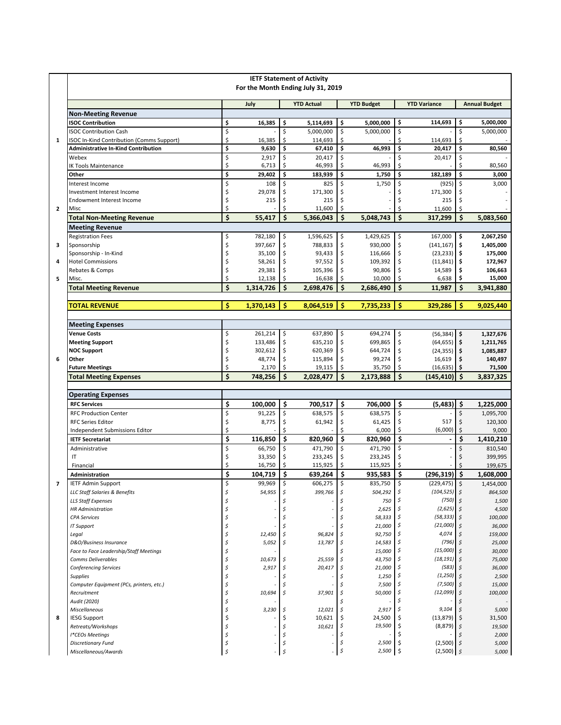|                | <b>IETF Statement of Activity</b><br>For the Month Ending July 31, 2019                 |          |                  |                          |                     |          |                     |                      |                              |             |                      |
|----------------|-----------------------------------------------------------------------------------------|----------|------------------|--------------------------|---------------------|----------|---------------------|----------------------|------------------------------|-------------|----------------------|
|                |                                                                                         |          | July             |                          | <b>YTD Actual</b>   |          | <b>YTD Budget</b>   |                      | <b>YTD Variance</b>          |             | <b>Annual Budget</b> |
|                | <b>Non-Meeting Revenue</b>                                                              |          |                  |                          |                     |          |                     |                      |                              |             |                      |
|                | <b>ISOC Contribution</b>                                                                | \$       | 16.385           | \$                       | 5,114,693           | \$       | 5,000,000           | \$                   | 114,693                      | \$          | 5,000,000            |
|                | <b>ISOC Contribution Cash</b>                                                           | \$       |                  | \$                       | 5,000,000           | \$       | 5,000,000           | \$                   |                              | \$          | 5,000,000            |
| 1              | ISOC In-Kind Contribution (Comms Support)<br><b>Administrative In-Kind Contribution</b> | \$<br>\$ | 16,385<br>9,630  | \$<br>\$                 | 114,693<br>67,410   | \$<br>\$ | 46,993              | Ś<br>\$              | 114,693<br>20,417            | \$<br>\$    | 80,560               |
|                | Webex                                                                                   | \$       | 2,917            | \$                       | 20,417              | \$       |                     | \$                   | 20,417                       | \$          |                      |
|                | <b>IK Tools Maintenance</b>                                                             | \$       | 6,713            | \$                       | 46,993              | \$       | 46,993              | \$                   |                              | \$          | 80,560               |
|                | Other                                                                                   | \$       | 29,402           | \$                       | 183,939             | \$       | 1,750               | \$                   | 182,189                      | \$          | 3,000                |
|                | Interest Income                                                                         | \$       | 108              | \$                       | 825                 | \$       | 1,750               | \$                   | (925)                        | \$          | 3,000                |
|                | Investment Interest Income                                                              | \$       | 29,078           | \$                       | 171,300             | \$       |                     | \$                   | 171,300                      | \$          |                      |
|                | Endowment Interest Income                                                               | \$       | 215              | \$                       | 215                 | \$       |                     | \$                   | 215                          | \$          |                      |
| $\overline{2}$ | Misc<br><b>Total Non-Meeting Revenue</b>                                                | \$<br>\$ | 55,417           | \$<br>\$                 | 11,600              | \$<br>Ś  | 5,048,743           | \$<br>\$             | 11,600<br>317,299            | \$<br>\$    |                      |
|                | <b>Meeting Revenue</b>                                                                  |          |                  |                          | 5,366,043           |          |                     |                      |                              |             | 5,083,560            |
|                | <b>Registration Fees</b>                                                                | \$       | 782,180          | \$                       | 1,596,625           | \$       | 1,429,625           | \$                   | 167,000                      | \$          | 2,067,250            |
| з              | Sponsorship                                                                             | \$       | 397,667          | \$                       | 788,833             | \$       | 930,000             | \$                   | (141, 167)                   | \$          | 1,405,000            |
|                | Sponsorship - In-Kind                                                                   | Ś        | 35,100           | \$                       | 93,433              | \$       | 116,666             | \$                   | (23, 233)                    | \$          | 175,000              |
| 4              | <b>Hotel Commissions</b>                                                                | \$       | 58,261           | \$                       | 97,552              | \$       | 109,392             | \$                   | (11, 841)                    | \$ ا        | 172,967              |
|                | Rebates & Comps                                                                         | \$       | 29,381           | \$                       | 105,396             | \$       | 90,806              | \$                   | 14,589                       | \$          | 106,663              |
| 5              | Misc.                                                                                   | \$       | 12,138           | \$                       | 16,638              | \$       | 10,000              | \$                   | 6,638                        | \$          | 15,000               |
|                | <b>Total Meeting Revenue</b>                                                            | \$       | 1,314,726        | \$                       | 2,698,476           | Ś        | 2,686,490           | \$                   | 11,987                       | Ś.          | 3,941,880            |
|                | <b>TOTAL REVENUE</b>                                                                    | Ś        | 1,370,143        | \$                       | 8,064,519           | Ś        | 7,735,233           | Ś                    | 329,286                      | Ŝ           | 9,025,440            |
|                |                                                                                         |          |                  |                          |                     |          |                     |                      |                              |             |                      |
|                | <b>Meeting Expenses</b>                                                                 |          |                  |                          |                     |          |                     |                      |                              |             |                      |
|                | <b>Venue Costs</b>                                                                      | \$       | 261,214          | \$                       | 637,890             | \$       | 694,274             | \$                   | $(56, 384)$ \$               |             | 1,327,676            |
|                | <b>Meeting Support</b>                                                                  | \$       | 133,486          | \$                       | 635,210             | \$       | 699,865             | \$                   | $(64, 655)$ \$               |             | 1,211,765            |
|                | <b>NOC Support</b>                                                                      | \$       | 302,612          | \$                       | 620,369             | \$       | 644,724             | \$                   | $(24, 355)$ \$               |             | 1,085,887            |
| 6              | Other                                                                                   | \$       | 48,774           | \$                       | 115,894             | \$       | 99,274              | \$                   | 16,619                       | \$          | 140,497              |
|                | <b>Future Meetings</b><br><b>Total Meeting Expenses</b>                                 | \$<br>Ś  | 2,170<br>748,256 | \$<br>$\dot{\mathsf{s}}$ | 19,115<br>2,028,477 | \$<br>Ś  | 35,750<br>2,173,888 | Ś.<br>Ś              | $(16, 635)$ \$<br>(145, 410) | Ś.          | 71,500<br>3,837,325  |
|                |                                                                                         |          |                  |                          |                     |          |                     |                      |                              |             |                      |
|                | <b>Operating Expenses</b>                                                               |          |                  |                          |                     |          |                     |                      |                              |             |                      |
|                | <b>RFC Services</b>                                                                     | \$       | 100,000          | \$                       | 700,517             | \$       | 706,000             | \$                   | $(5,483)$ \$                 |             | 1,225,000            |
|                | <b>RFC Production Center</b>                                                            | \$       | 91,225           | \$                       | 638,575             | \$       | 638,575             | $\zeta$              |                              | \$          | 1,095,700            |
|                | <b>RFC Series Editor</b>                                                                | \$       | 8,775            | \$                       | 61,942              | \$       | 61,425              | \$                   | 517                          | \$          | 120,300              |
|                | Independent Submissions Editor                                                          | \$       |                  | \$                       |                     | \$       | 6,000               | \$                   | (6,000)                      | \$          | 9,000                |
|                | <b>IETF Secretariat</b>                                                                 | \$       | 116,850          | \$                       | 820,960             | \$       | 820,960             | \$                   |                              | \$          | 1,410,210            |
|                | Administrative<br>IT                                                                    | \$<br>\$ | 66,750<br>33,350 | \$<br>\$                 | 471,790<br>233,245  | \$<br>\$ | 471,790<br>233,245  | $\zeta$<br>\$        |                              | \$<br>\$    | 810,540<br>399,995   |
|                | Financial                                                                               | \$       | 16,750           | \$                       | 115,925             | \$       | 115,925             |                      |                              | \$          | 199,675              |
|                | Administration                                                                          | \$       | 104,719          | \$                       | 639,264             | \$       | 935,583             | \$                   | (296, 319)                   | \$          | 1,608,000            |
| 7              | <b>IETF Admin Support</b>                                                               |          | 99,969           | \$                       | 606,275             | \$       | 835,750             | \$                   | (229, 475)                   | \$          | 1,454,000            |
|                | LLC Staff Salaries & Benefits                                                           | \$       | 54,955           | \$                       | 399,766             | \$       | 504,292             | \$.                  | $(104, 525)$ \$              |             | 864,500              |
|                | <b>LLS Staff Expenses</b>                                                               | Ś        |                  |                          |                     | \$       | 750                 | \$                   | (750)                        |             | 1,500                |
|                | <b>HR Administration</b>                                                                | Ś        |                  | Ś                        |                     | \$       | 2,625               | \$                   | (2,625)                      | ١s          | 4,500                |
|                | <b>CPA Services</b>                                                                     | Ś        |                  | Ś                        |                     | \$       | 58,333              | -\$                  | (58, 333)                    | 5 ا         | 100,000              |
| 8              | IT Support                                                                              | \$       |                  | \$                       |                     | \$       | 21,000              | -\$                  | (21,000)<br>4,074            |             | 36,000               |
|                | Legal<br>D&O/Business Insurance                                                         | \$<br>\$ | 12,450<br>5,052  | \$<br>\$                 | 96,824<br>13,787    | \$<br>\$ | 92,750<br>14,583    |                      | (796)                        | \$<br>5 ا   | 159,000<br>25,000    |
|                | Face to Face Leadership/Staff Meetings                                                  | Ś        |                  |                          |                     | \$       | 15,000              | -\$                  | (15,000)                     | \$          | 30,000               |
|                | <b>Comms Deliverables</b>                                                               | \$       | 10,673           | \$                       | 25,559              | \$       | 43,750              |                      | (18, 191)                    |             | 75,000               |
|                | <b>Conferencing Services</b>                                                            | \$       | 2,917            | \$                       | 20,417              | \$       | 21,000              | -\$                  | (583)                        | 5           | 36,000               |
|                | <b>Supplies</b>                                                                         | \$       |                  | \$                       |                     | \$       | 1,250               |                      | (1, 250)                     | \$          | 2,500                |
|                | Computer Equipment (PCs, printers, etc.)                                                | Ś        |                  | \$                       |                     | \$       | 7,500               | \$                   | (7,500)                      | 5           | 15,000               |
|                | Recruitment                                                                             | Ś        | 10,694           | \$                       | 37,901              | \$       | 50,000              | -\$                  | (12, 099)                    | \$          | 100,000              |
|                | Audit (2020)                                                                            | Ś        |                  |                          |                     | \$       |                     | \$<br>$\mathfrak{s}$ | 9,104                        |             |                      |
|                | Miscellaneous<br><b>IESG Support</b>                                                    | \$<br>\$ | 3,230            | \$<br>\$                 | 12,021<br>10,621    | \$<br>\$ | 2,917<br>24,500     | \$.                  | (13, 879)                    | \$<br>\$    | 5,000<br>31,500      |
|                | Retreats/Workshops                                                                      | Ś        |                  | \$                       | 10,621              | \$       | 19,500              | -\$                  | (8, 879)                     | \$          | 19,500               |
|                | I*CEOs Meetings                                                                         | Ś        |                  | \$                       |                     | \$       |                     | \$                   |                              |             | 2,000                |
|                | <b>Discretionary Fund</b>                                                               | \$       |                  | \$                       |                     | \$       | 2,500               | \$                   | (2,500)                      | $\varsigma$ | 5,000                |
|                | Miscellaneous/Awards                                                                    | Ś        |                  | \$                       |                     | \$       | 2,500               | \$                   | (2,500)                      | $\zeta$     | 5,000                |